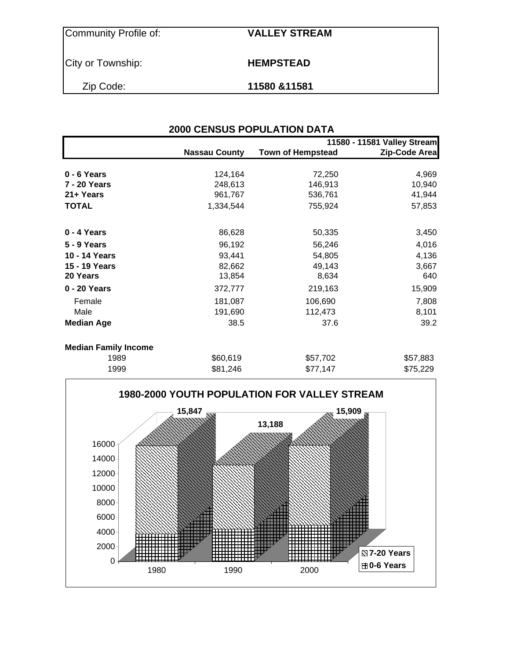Community Profile of: **VALLEY STREAM**

City or Township: **HEMPSTEAD** 

Zip Code: **11580 &11581**

| <b>2000 CENSUS POPULATION DATA</b> |                      |                          |                             |  |  |  |  |  |  |
|------------------------------------|----------------------|--------------------------|-----------------------------|--|--|--|--|--|--|
|                                    |                      |                          | 11580 - 11581 Valley Stream |  |  |  |  |  |  |
|                                    | <b>Nassau County</b> | <b>Town of Hempstead</b> | Zip-Code Area               |  |  |  |  |  |  |
| $0 - 6$ Years                      | 124,164              | 72,250                   | 4,969                       |  |  |  |  |  |  |
| 7 - 20 Years                       | 248,613              | 146,913                  | 10,940                      |  |  |  |  |  |  |
| 21+ Years                          | 961,767              | 536,761                  | 41,944                      |  |  |  |  |  |  |
| <b>TOTAL</b>                       | 1,334,544            | 755,924                  | 57,853                      |  |  |  |  |  |  |
| 0 - 4 Years                        | 86,628               | 50,335                   | 3,450                       |  |  |  |  |  |  |
| <b>5 - 9 Years</b>                 | 96,192               | 56,246                   | 4,016                       |  |  |  |  |  |  |
| 10 - 14 Years                      | 93,441               | 54,805                   | 4,136                       |  |  |  |  |  |  |
| 15 - 19 Years                      | 82,662               | 49,143                   | 3,667                       |  |  |  |  |  |  |
| 20 Years                           | 13,854               | 8,634                    | 640                         |  |  |  |  |  |  |
| 0 - 20 Years                       | 372,777              | 219,163                  | 15,909                      |  |  |  |  |  |  |
| Female                             | 181,087              | 106,690                  | 7,808                       |  |  |  |  |  |  |
| Male                               | 191,690              | 112,473                  | 8,101                       |  |  |  |  |  |  |
| <b>Median Age</b>                  | 38.5                 | 37.6                     | 39.2                        |  |  |  |  |  |  |
| <b>Median Family Income</b>        |                      |                          |                             |  |  |  |  |  |  |
| 1989                               | \$60,619             | \$57,702                 | \$57,883                    |  |  |  |  |  |  |
| 1999                               | \$81,246             | \$77,147                 | \$75,229                    |  |  |  |  |  |  |

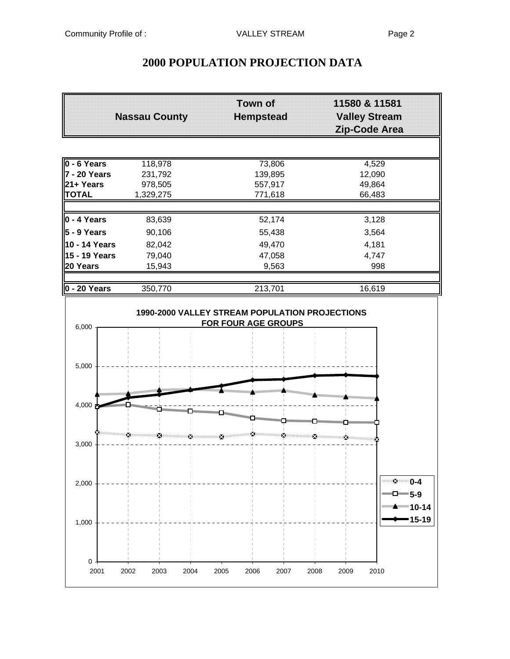$0 -$ 

# **2000 POPULATION PROJECTION DATA**

|                                                                               | <b>Nassau County</b>          | <b>Town of</b><br><b>Hempstead</b> | 11580 & 11581<br><b>Valley Stream</b><br>Zip-Code Area |  |  |
|-------------------------------------------------------------------------------|-------------------------------|------------------------------------|--------------------------------------------------------|--|--|
| $0 - 6$ Years<br>118,978<br>$7 - 20$ Years<br>231,792<br>21+ Years<br>978,505 |                               | 73,806<br>139,895<br>557,917       | 4,529<br>12,090<br>49,864                              |  |  |
| <b>TOTAL</b>                                                                  | 1,329,275                     | 771,618                            | 66,483                                                 |  |  |
| $\vert$ 0 - 4 Years                                                           | 83,639                        | 52,174                             | 3,128                                                  |  |  |
| $\vert$ 5 - 9 Years                                                           | 90,106                        | 55,438                             | 3,564                                                  |  |  |
| 10 - 14 Years                                                                 | 82,042                        | 49,470                             | 4,181                                                  |  |  |
| 15 - 19 Years                                                                 | 79,040                        | 47,058                             | 4,747                                                  |  |  |
| 20 Years                                                                      | 15,943                        | 9,563                              | 998                                                    |  |  |
| $0 - 20$ Years                                                                | 350,770                       | 213,701                            | 16,619                                                 |  |  |
| 6,000<br>5,000                                                                |                               | <b>FOR FOUR AGE GROUPS</b>         |                                                        |  |  |
| <br>4,000 $\frac{1}{2}$                                                       | <b>SUBBOROUSE AND RELEASE</b> |                                    |                                                        |  |  |
| 3,000                                                                         |                               |                                    |                                                        |  |  |
| 2,000                                                                         |                               |                                    | 图<br>$0 - 4$<br>□━5-9                                  |  |  |
| 1,000                                                                         |                               |                                    | $15 - 19$                                              |  |  |

2001 2002 2003 2004 2005 2006 2007 2008 2009 2010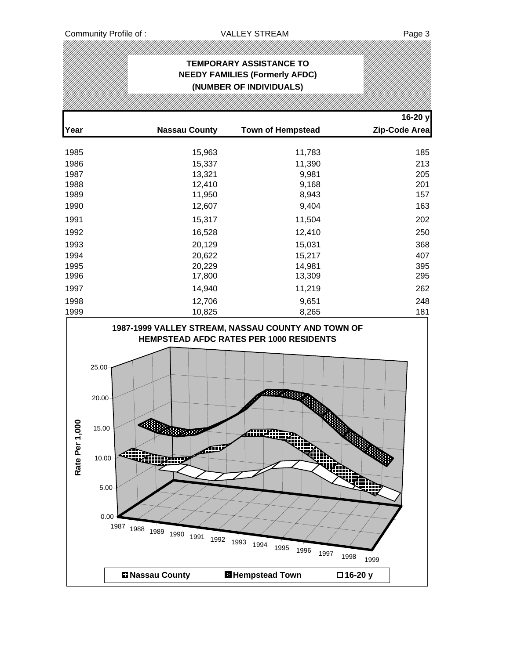### **TEMPORARY ASSISTANCE TO NEEDY FAMILIES (Formerly AFDC) (NUMBER OF INDIVIDUALS)**

| Year           |                                                                                                 | <b>Nassau County</b>                 | <b>Town of Hempstead</b>                                                            |                              | 16-20 y<br>Zip-Code Area |
|----------------|-------------------------------------------------------------------------------------------------|--------------------------------------|-------------------------------------------------------------------------------------|------------------------------|--------------------------|
| 1985           |                                                                                                 | 15,963                               | 11,783                                                                              |                              | 185                      |
| 1986           |                                                                                                 | 15,337                               | 11,390                                                                              |                              | 213                      |
| 1987           |                                                                                                 | 13,321                               | 9,981                                                                               |                              | 205                      |
| 1988           |                                                                                                 | 12,410                               | 9,168                                                                               |                              | 201                      |
| 1989           |                                                                                                 | 11,950                               | 8,943                                                                               |                              | 157                      |
| 1990           |                                                                                                 | 12,607                               | 9,404                                                                               |                              | 163                      |
| 1991           |                                                                                                 | 15,317                               | 11,504                                                                              |                              | 202                      |
| 1992           |                                                                                                 | 16,528                               | 12,410                                                                              |                              | 250                      |
| 1993           |                                                                                                 | 20,129                               | 15,031                                                                              |                              | 368                      |
| 1994           |                                                                                                 | 20,622                               | 15,217                                                                              |                              | 407                      |
| 1995           |                                                                                                 | 20,229                               | 14,981                                                                              |                              | 395                      |
| 1996           |                                                                                                 | 17,800                               | 13,309                                                                              |                              | 295                      |
| 1997           |                                                                                                 | 14,940                               | 11,219                                                                              |                              | 262                      |
| 1998           |                                                                                                 | 12,706                               | 9,651                                                                               |                              | 248                      |
| 1999           |                                                                                                 | 10,825                               | 8,265                                                                               |                              | 181                      |
| Rate Per 1,000 | 25.00<br>20.00<br>15.00<br>10.00<br>对刑<br>5.00 <sub>1</sub><br>0.00<br>1987 1988 1989 1990 1991 | <b>CONSUMER</b><br>dill<br>1992 1993 | HEMPSTEAD AFDC RATES PER 1000 RESIDENTS<br>33333<br>aiidam.<br>1994<br>1995<br>1996 | Wiih<br>1997<br>1998<br>1999 |                          |
|                | <b>E</b> Nassau County                                                                          |                                      | <b>H</b> Hempstead Town                                                             | □16-20 y                     |                          |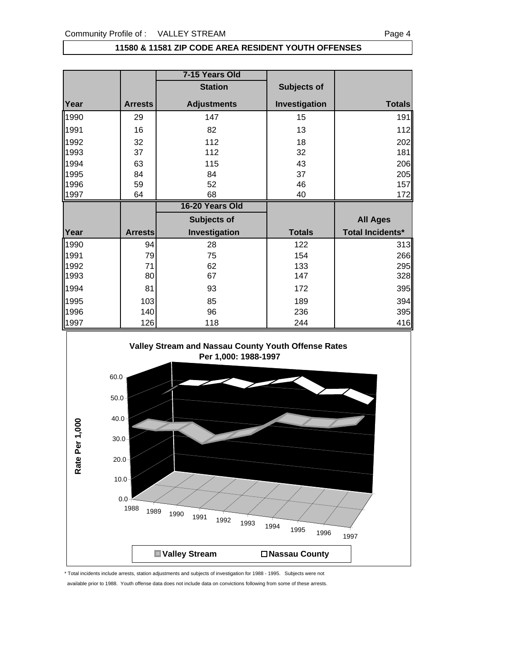### **11580 & 11581 ZIP CODE AREA RESIDENT YOUTH OFFENSES**

|      |                | 7-15 Years Old     |               |                         |
|------|----------------|--------------------|---------------|-------------------------|
|      |                | <b>Station</b>     | Subjects of   |                         |
| Year | <b>Arrests</b> | <b>Adjustments</b> | Investigation | <b>Totals</b>           |
| 1990 | 29             | 147                | 15            | 191                     |
| 1991 | 16             | 82                 | 13            | 112                     |
| 1992 | 32             | 112                | 18            | 202                     |
| 1993 | 37             | 112                | 32            | 181                     |
| 1994 | 63             | 115                | 43            | 206                     |
| 1995 | 84             | 84                 | 37            | 205                     |
| 1996 | 59             | 52                 | 46            | 157                     |
| 1997 | 64             | 68                 | 40            | 172                     |
|      |                |                    |               |                         |
|      |                | 16-20 Years Old    |               |                         |
|      |                | Subjects of        |               | <b>All Ages</b>         |
| Year | <b>Arrests</b> | Investigation      | <b>Totals</b> | <b>Total Incidents*</b> |
| 1990 | 94             | 28                 | 122           | 313                     |
| 1991 | 79             | 75                 | 154           | 266                     |
| 1992 | 71             | 62                 | 133           |                         |
| 1993 | 80             | 67                 | 147           | 295<br>328              |
| 1994 | 81             | 93                 | 172           | 395                     |
| 1995 | 103            | 85                 | 189           | 394                     |
| 1996 | 140            | 96                 | 236           | 395                     |



<sup>\*</sup> Total incidents include arrests, station adjustments and subjects of investigation for 1988 - 1995. Subjects were not available prior to 1988. Youth offense data does not include data on convictions following from some of these arrests.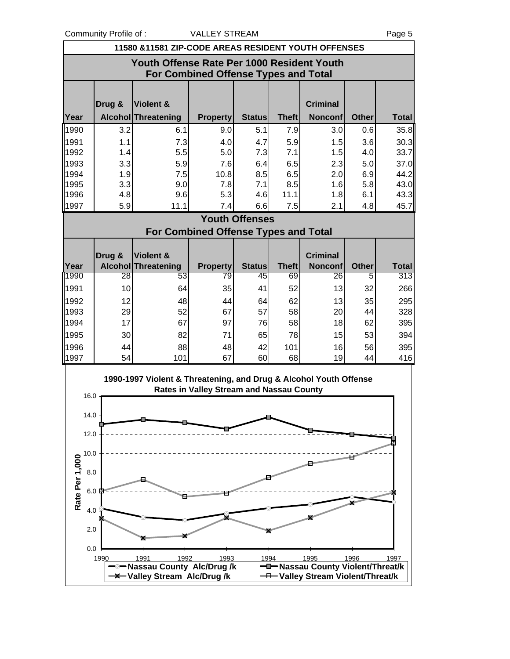Community Profile of : <br>
VALLEY STREAM 
VALLEY STREAM

UP 1998

|      |                                      | 11580 & 11581 ZIP-CODE AREAS RESIDENT YOUTH OFFENSES              |                                             |                       |              |                                   |              |              |  |  |
|------|--------------------------------------|-------------------------------------------------------------------|---------------------------------------------|-----------------------|--------------|-----------------------------------|--------------|--------------|--|--|
|      |                                      | Youth Offense Rate Per 1000 Resident Youth                        |                                             |                       |              |                                   |              |              |  |  |
|      | For Combined Offense Types and Total |                                                                   |                                             |                       |              |                                   |              |              |  |  |
|      |                                      |                                                                   |                                             |                       |              |                                   |              |              |  |  |
|      | Drug &                               | Violent &                                                         |                                             |                       |              | <b>Criminal</b>                   |              |              |  |  |
| Year |                                      | <b>Alcohol Threatening</b>                                        | <b>Property</b>                             | <b>Status</b>         | <b>Theft</b> | <b>Nonconf</b>                    | <b>Other</b> | <b>Total</b> |  |  |
| 1990 | 3.2                                  | 6.1                                                               | 9.0                                         | 5.1                   | 7.9          | 3.0                               | 0.6          | 35.8         |  |  |
| 1991 | 1.1                                  | 7.3                                                               | 4.0                                         | 4.7                   | 5.9          | 1.5                               | 3.6          | 30.3         |  |  |
| 1992 | 1.4                                  | 5.5                                                               | 5.0                                         | 7.3                   | 7.1          | 1.5                               | 4.0          | 33.7         |  |  |
| 1993 | 3.3                                  | 5.9                                                               | 7.6                                         | 6.4                   | 6.5          | 2.3                               | 5.0          | 37.0         |  |  |
| 1994 | 1.9                                  | 7.5                                                               | 10.8                                        | 8.5                   | 6.5          | 2.0                               | 6.9          | 44.2         |  |  |
| 1995 | 3.3                                  | 9.0                                                               | 7.8                                         | 7.1                   | 8.5          | 1.6                               | 5.8          | 43.0         |  |  |
| 1996 | 4.8                                  | 9.6                                                               | 5.3                                         | 4.6                   | 11.1         | 1.8                               | 6.1          | 43.3         |  |  |
| 1997 | 5.9                                  | 11.1                                                              | 7.4                                         | 6.6                   | 7.5          | 2.1                               | 4.8          | 45.7         |  |  |
|      |                                      |                                                                   |                                             | <b>Youth Offenses</b> |              |                                   |              |              |  |  |
|      |                                      |                                                                   | <b>For Combined Offense Types and Total</b> |                       |              |                                   |              |              |  |  |
|      |                                      |                                                                   |                                             |                       |              |                                   |              |              |  |  |
| Year | Drug &                               | Violent &<br><b>Alcohol Threatening</b>                           | <b>Property</b>                             | <b>Status</b>         | <b>Theft</b> | <b>Criminal</b><br><b>Nonconf</b> | <b>Other</b> | <b>Total</b> |  |  |
| 1990 | 28                                   | 53                                                                | 79                                          | 45                    | 69           | 26                                | 5            | 313          |  |  |
| 1991 | 10                                   | 64                                                                | 35                                          | 41                    | 52           | 13                                | 32           | 266          |  |  |
| 1992 | 12                                   | 48                                                                | 44                                          | 64                    | 62           | 13                                | 35           | 295          |  |  |
| 1993 | 29                                   | 52                                                                | 67                                          | 57                    | 58           | 20                                | 44           | 328          |  |  |
| 1994 | 17                                   | 67                                                                | 97                                          | 76                    | 58           | 18                                | 62           | 395          |  |  |
| 1995 | 30                                   | 82                                                                | 71                                          | 65                    | 78           | 15                                | 53           | 394          |  |  |
| 1996 | 44                                   | 88                                                                | 48                                          | 42                    | 101          | 16                                | 56           | 395          |  |  |
| 1997 | 54                                   | 101                                                               | 67                                          | 60                    | 68           | 19                                | 44           | 416          |  |  |
|      |                                      |                                                                   |                                             |                       |              |                                   |              |              |  |  |
|      |                                      | 1990-1997 Violent & Threatening, and Drug & Alcohol Youth Offense |                                             |                       |              |                                   |              |              |  |  |
|      |                                      |                                                                   | Rates in Valley Stream and Nassau County    |                       |              |                                   |              |              |  |  |
| 16.0 |                                      |                                                                   |                                             |                       |              |                                   |              |              |  |  |
| 14.0 |                                      |                                                                   |                                             |                       |              |                                   |              |              |  |  |

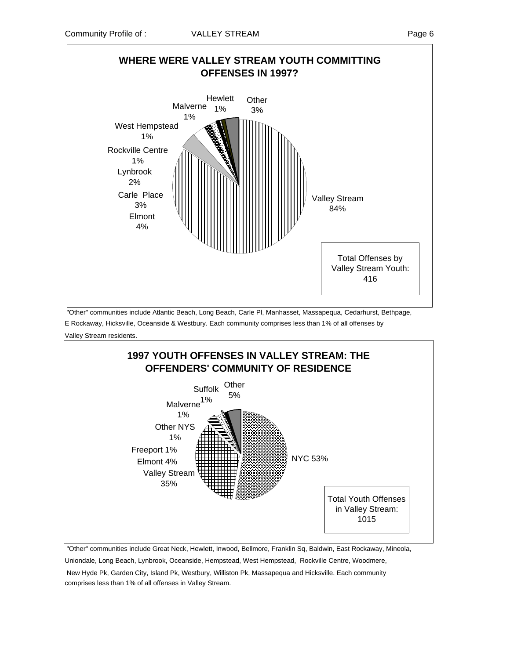

 "Other" communities include Atlantic Beach, Long Beach, Carle Pl, Manhasset, Massapequa, Cedarhurst, Bethpage, E Rockaway, Hicksville, Oceanside & Westbury. Each community comprises less than 1% of all offenses by

Valley Stream residents.



"Other" communities include Great Neck, Hewlett, Inwood, Bellmore, Franklin Sq, Baldwin, East Rockaway, Mineola,

Uniondale, Long Beach, Lynbrook, Oceanside, Hempstead, West Hempstead, Rockville Centre, Woodmere, New Hyde Pk, Garden City, Island Pk, Westbury, Williston Pk, Massapequa and Hicksville. Each community

comprises less than 1% of all offenses in Valley Stream.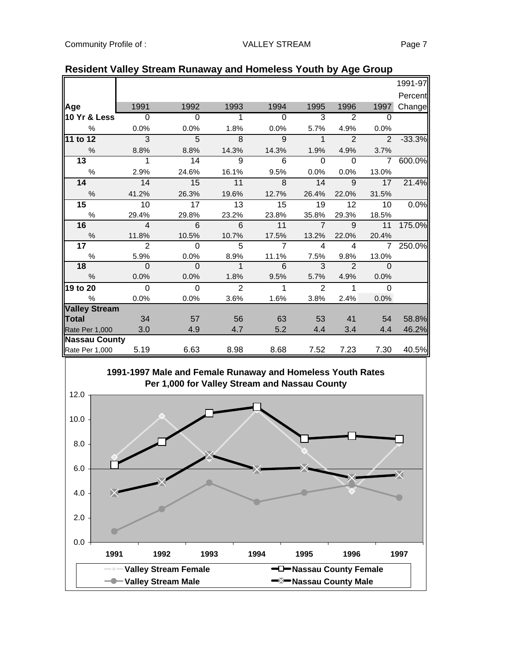|                      |                           |          |                |                |                |                |                | 1991-97  |
|----------------------|---------------------------|----------|----------------|----------------|----------------|----------------|----------------|----------|
|                      |                           |          |                |                |                |                |                | Percent  |
| Age                  | 1991                      | 1992     | 1993           | 1994           | 1995           | 1996           | 1997           | Change   |
| 10 Yr & Less         | $\Omega$                  | $\Omega$ | 1              | $\Omega$       | 3              | $\overline{2}$ | $\Omega$       |          |
| $\%$                 | 0.0%                      | 0.0%     | 1.8%           | 0.0%           | 5.7%           | 4.9%           | 0.0%           |          |
| 11 to 12             | $\overline{\phantom{a}3}$ | $-5$     | $\overline{8}$ | $\overline{9}$ | $\mathbf 1$    | $\overline{2}$ | $\overline{2}$ | $-33.3%$ |
| $\%$                 | 8.8%                      | 8.8%     | 14.3%          | 14.3%          | 1.9%           | 4.9%           | 3.7%           |          |
| 13                   | $\mathbf{1}$              | 14       | 9              | 6              | $\Omega$       | $\Omega$       | $\overline{7}$ | 600.0%   |
| $\%$                 | 2.9%                      | 24.6%    | 16.1%          | 9.5%           | 0.0%           | 0.0%           | 13.0%          |          |
| 14                   | 14                        | 15       | 11             | $\mathcal{B}$  | 14             | 9              | 17             | 21.4%    |
| $\%$                 | 41.2%                     | 26.3%    | 19.6%          | 12.7%          | 26.4%          | 22.0%          | 31.5%          |          |
| 15 <sub>1</sub>      | 10                        | 17       | 13             | 15             | 19             | 12             | 10             | 0.0%     |
| $\%$                 | 29.4%                     | 29.8%    | 23.2%          | 23.8%          | 35.8%          | 29.3%          | 18.5%          |          |
| 16                   | $\overline{4}$            | 6        | 6              | 11             | $\overline{7}$ | 9              | 11             | 175.0%   |
| $\%$                 | 11.8%                     | 10.5%    | 10.7%          | 17.5%          | 13.2%          | 22.0%          | 20.4%          |          |
| 17                   | $\overline{2}$            | $\Omega$ | 5              | $\overline{7}$ | $\overline{4}$ | $\overline{4}$ | $\overline{7}$ | 250.0%   |
| $\%$                 | 5.9%                      | 0.0%     | 8.9%           | 11.1%          | 7.5%           | 9.8%           | 13.0%          |          |
| 18                   | $\Omega$                  | $\Omega$ | $\mathbf{1}$   | 6              | 3              | $\mathfrak{p}$ | $\Omega$       |          |
| $\frac{0}{0}$        | 0.0%                      | 0.0%     | 1.8%           | 9.5%           | 5.7%           | 4.9%           | 0.0%           |          |
| 19 to 20             | $\Omega$                  | $\Omega$ | $\overline{2}$ | $\mathbf{1}$   | 2              | $\mathbf{1}$   | $\Omega$       |          |
| $\%$                 | 0.0%                      | 0.0%     | 3.6%           | 1.6%           | 3.8%           | 2.4%           | 0.0%           |          |
| <b>Valley Stream</b> |                           |          |                |                |                |                |                |          |
| Total                | 34                        | 57       | 56             | 63             | 53             | 41             | 54             | 58.8%    |
| Rate Per 1,000       | 3.0                       | 4.9      | 4.7            | 5.2            | 4.4            | 3.4            | 4.4            | 46.2%    |
| <b>Nassau County</b> |                           |          |                |                |                |                |                |          |
| Rate Per 1,000       | 5.19                      | 6.63     | 8.98           | 8.68           | 7.52           | 7.23           | 7.30           | 40.5%    |
|                      |                           |          |                |                |                |                |                |          |

### **Resident Valley Stream Runaway and Homeless Youth by Age Group**

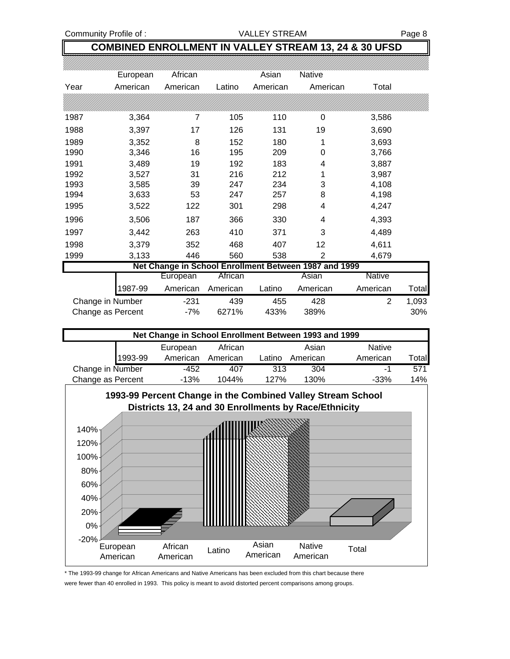Community Profile of : VALLEY STREAM Page 8

### **COMBINED ENROLLMENT IN VALLEY STREAM 13, 24 & 30 UFSD**

|                   | European | African  |          | Asian    | Native                                                |               |       |
|-------------------|----------|----------|----------|----------|-------------------------------------------------------|---------------|-------|
| Year              | American | American | Latino   | American | American                                              | Total         |       |
|                   |          |          |          |          |                                                       |               |       |
| 1987              | 3,364    | 7        | 105      | 110      | 0                                                     | 3,586         |       |
| 1988              | 3,397    | 17       | 126      | 131      | 19                                                    | 3,690         |       |
| 1989              | 3,352    | 8        | 152      | 180      | 1                                                     | 3,693         |       |
| 1990              | 3,346    | 16       | 195      | 209      | 0                                                     | 3,766         |       |
| 1991              | 3,489    | 19       | 192      | 183      | 4                                                     | 3,887         |       |
| 1992              | 3,527    | 31       | 216      | 212      | 1                                                     | 3,987         |       |
| 1993              | 3,585    | 39       | 247      | 234      | 3                                                     | 4,108         |       |
| 1994              | 3,633    | 53       | 247      | 257      | 8                                                     | 4,198         |       |
| 1995              | 3,522    | 122      | 301      | 298      | 4                                                     | 4,247         |       |
| 1996              | 3,506    | 187      | 366      | 330      | 4                                                     | 4,393         |       |
| 1997              | 3,442    | 263      | 410      | 371      | 3                                                     | 4,489         |       |
| 1998              | 3,379    | 352      | 468      | 407      | 12                                                    | 4,611         |       |
| 1999              | 3,133    | 446      | 560      | 538      | $\overline{2}$                                        | 4,679         |       |
|                   |          |          |          |          | Net Change in School Enrollment Between 1987 and 1999 |               |       |
|                   |          | European | African  |          | Asian                                                 | <b>Native</b> |       |
|                   | 1987-99  | American | American | Latino   | American                                              | American      | Total |
| Change in Number  |          | $-231$   | 439      | 455      | 428                                                   | 2             | 1,093 |
| Change as Percent |          | -7%      | 6271%    | 433%     | 389%                                                  |               | 30%   |



<sup>\*</sup> The 1993-99 change for African Americans and Native Americans has been excluded from this chart because there were fewer than 40 enrolled in 1993. This policy is meant to avoid distorted percent comparisons among groups.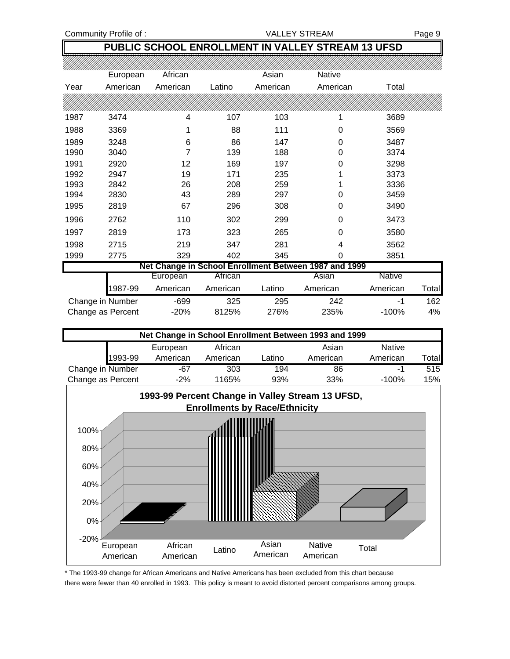Community Profile of : The VALLEY STREAM Page 9

### **PUBLIC SCHOOL ENROLLMENT IN VALLEY STREAM 13 UFSD**

|      | European          | African  |          | Asian    | Native                                                |               |              |
|------|-------------------|----------|----------|----------|-------------------------------------------------------|---------------|--------------|
| Year | American          | American | Latino   | American | American                                              | Total         |              |
|      |                   |          |          |          |                                                       |               |              |
| 1987 | 3474              | 4        | 107      | 103      | 1                                                     | 3689          |              |
| 1988 | 3369              | 1        | 88       | 111      | 0                                                     | 3569          |              |
| 1989 | 3248              | 6        | 86       | 147      | 0                                                     | 3487          |              |
| 1990 | 3040              | 7        | 139      | 188      | 0                                                     | 3374          |              |
| 1991 | 2920              | 12       | 169      | 197      | 0                                                     | 3298          |              |
| 1992 | 2947              | 19       | 171      | 235      |                                                       | 3373          |              |
| 1993 | 2842              | 26       | 208      | 259      |                                                       | 3336          |              |
| 1994 | 2830              | 43       | 289      | 297      | 0                                                     | 3459          |              |
| 1995 | 2819              | 67       | 296      | 308      | 0                                                     | 3490          |              |
| 1996 | 2762              | 110      | 302      | 299      | 0                                                     | 3473          |              |
| 1997 | 2819              | 173      | 323      | 265      | 0                                                     | 3580          |              |
| 1998 | 2715              | 219      | 347      | 281      | 4                                                     | 3562          |              |
| 1999 | 2775              | 329      | 402      | 345      | 0                                                     | 3851          |              |
|      |                   |          |          |          | Net Change in School Enrollment Between 1987 and 1999 |               |              |
|      |                   | European | African  |          | Asian                                                 | <b>Native</b> |              |
|      | 1987-99           | American | American | Latino   | American                                              | American      | <b>Total</b> |
|      | Change in Number  | $-699$   | 325      | 295      | 242                                                   | -1            | 162          |
|      | Change as Percent | $-20%$   | 8125%    | 276%     | 235%                                                  | $-100%$       | 4%           |



\* The 1993-99 change for African Americans and Native Americans has been excluded from this chart because there were fewer than 40 enrolled in 1993. This policy is meant to avoid distorted percent comparisons among groups.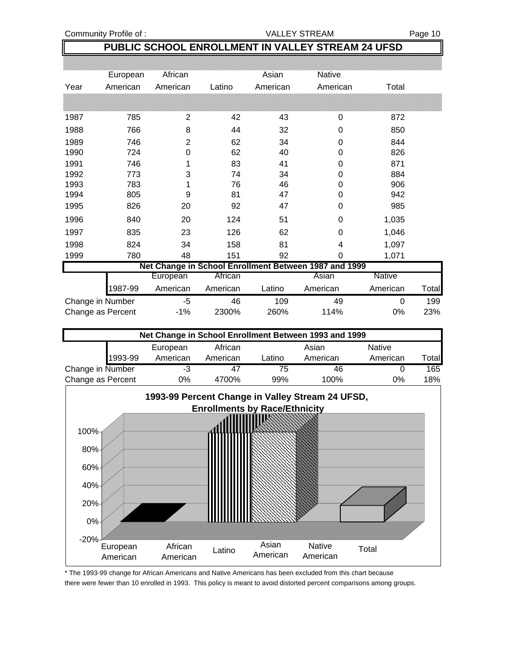Community Profile of : <br>
VALLEY STREAM Page 10

## **PUBLIC SCHOOL ENROLLMENT IN VALLEY STREAM 24 UFSD**

|                   | European | African  |          | Asian    | Native                                                |          |              |
|-------------------|----------|----------|----------|----------|-------------------------------------------------------|----------|--------------|
| Year              | American | American | Latino   | American | American                                              | Total    |              |
|                   |          |          |          |          |                                                       |          |              |
| 1987              | 785      | 2        | 42       | 43       | 0                                                     | 872      |              |
| 1988              | 766      | 8        | 44       | 32       | 0                                                     | 850      |              |
| 1989              | 746      | 2        | 62       | 34       | 0                                                     | 844      |              |
| 1990              | 724      | 0        | 62       | 40       | 0                                                     | 826      |              |
| 1991              | 746      |          | 83       | 41       | 0                                                     | 871      |              |
| 1992              | 773      | 3        | 74       | 34       | 0                                                     | 884      |              |
| 1993              | 783      |          | 76       | 46       | 0                                                     | 906      |              |
| 1994              | 805      | 9        | 81       | 47       | 0                                                     | 942      |              |
| 1995              | 826      | 20       | 92       | 47       | 0                                                     | 985      |              |
| 1996              | 840      | 20       | 124      | 51       | 0                                                     | 1,035    |              |
| 1997              | 835      | 23       | 126      | 62       | 0                                                     | 1,046    |              |
| 1998              | 824      | 34       | 158      | 81       | 4                                                     | 1,097    |              |
| 1999              | 780      | 48       | 151      | 92       | 0                                                     | 1,071    |              |
|                   |          |          |          |          | Net Change in School Enrollment Between 1987 and 1999 |          |              |
|                   |          | European | African  |          | Asian                                                 | Native   |              |
|                   | 1987-99  | American | American | Latino   | American                                              | American | <b>Total</b> |
| Change in Number  |          | -5       | 46       | 109      | 49                                                    | 0        | 199          |
| Change as Percent |          | $-1\%$   | 2300%    | 260%     | 114%                                                  | 0%       | 23%          |



\* The 1993-99 change for African Americans and Native Americans has been excluded from this chart because there were fewer than 10 enrolled in 1993. This policy is meant to avoid distorted percent comparisons among groups.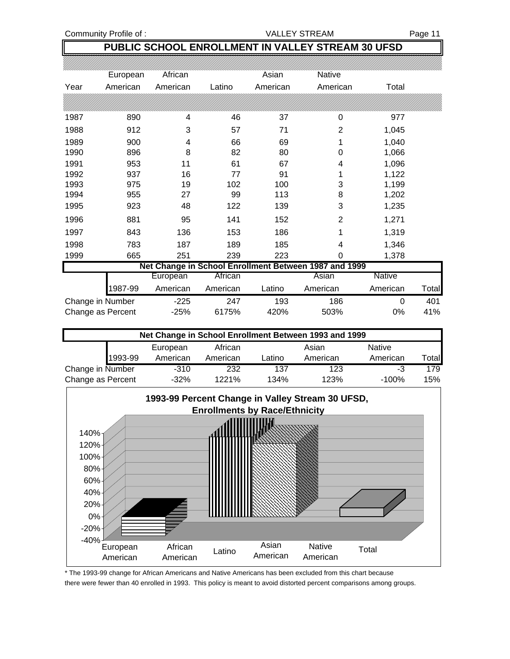Community Profile of : <br>
VALLEY STREAM Page 11

## **PUBLIC SCHOOL ENROLLMENT IN VALLEY STREAM 30 UFSD**

|                   | European | African  |          | Asian    | Native                                                |          |       |
|-------------------|----------|----------|----------|----------|-------------------------------------------------------|----------|-------|
| Year              | American | American | Latino   | American | American                                              | Total    |       |
|                   |          |          |          |          |                                                       |          |       |
| 1987              | 890      | 4        | 46       | 37       | 0                                                     | 977      |       |
| 1988              | 912      | 3        | 57       | 71       | $\overline{2}$                                        | 1,045    |       |
| 1989              | 900      | 4        | 66       | 69       | 1                                                     | 1,040    |       |
| 1990              | 896      | 8        | 82       | 80       | 0                                                     | 1,066    |       |
| 1991              | 953      | 11       | 61       | 67       | 4                                                     | 1,096    |       |
| 1992              | 937      | 16       | 77       | 91       | 1                                                     | 1,122    |       |
| 1993              | 975      | 19       | 102      | 100      | 3                                                     | 1,199    |       |
| 1994              | 955      | 27       | 99       | 113      | 8                                                     | 1,202    |       |
| 1995              | 923      | 48       | 122      | 139      | 3                                                     | 1,235    |       |
| 1996              | 881      | 95       | 141      | 152      | $\overline{2}$                                        | 1,271    |       |
| 1997              | 843      | 136      | 153      | 186      | 1                                                     | 1,319    |       |
| 1998              | 783      | 187      | 189      | 185      | 4                                                     | 1,346    |       |
| 1999              | 665      | 251      | 239      | 223      | 0                                                     | 1,378    |       |
|                   |          |          |          |          | Net Change in School Enrollment Between 1987 and 1999 |          |       |
|                   |          | European | African  |          | Asian                                                 | Native   |       |
|                   | 1987-99  | American | American | Latino   | American                                              | American | Total |
| Change in Number  |          | $-225$   | 247      | 193      | 186                                                   | 0        | 401   |
| Change as Percent |          | $-25%$   | 6175%    | 420%     | 503%                                                  | 0%       | 41%   |

| Net Change in School Enrollment Between 1993 and 1999 |         |          |          |        |          |               |       |  |
|-------------------------------------------------------|---------|----------|----------|--------|----------|---------------|-------|--|
|                                                       |         | European | African  |        | Asian    | <b>Native</b> |       |  |
|                                                       | 1993-99 | American | American | Latino | American | American      | Total |  |
| Change in Number                                      |         | $-310$   | 232      | 137    | 123      | -3            | 179   |  |
| Change as Percent                                     |         | $-32%$   | 1221%    | 134%   | 123%     | $-100%$       | 15%   |  |



\* The 1993-99 change for African Americans and Native Americans has been excluded from this chart because there were fewer than 40 enrolled in 1993. This policy is meant to avoid distorted percent comparisons among groups.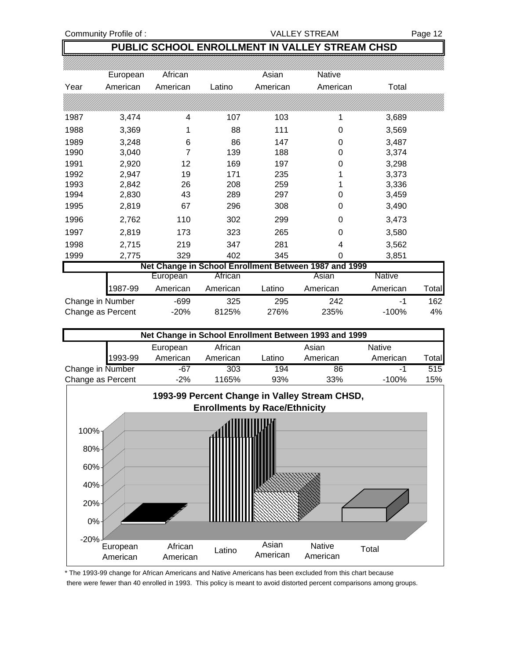Community Profile of : The Community Profile of : The VALLEY STREAM Page 12

### **PUBLIC SCHOOL ENROLLMENT IN VALLEY STREAM CHSD**

|                   | European | African  |          | Asian    | <b>Native</b>                                         |          |       |
|-------------------|----------|----------|----------|----------|-------------------------------------------------------|----------|-------|
| Year              | American | American | Latino   | American | American                                              | Total    |       |
|                   |          |          |          |          |                                                       |          |       |
| 1987              | 3,474    | 4        | 107      | 103      | 1                                                     | 3,689    |       |
| 1988              | 3,369    | 1        | 88       | 111      | 0                                                     | 3,569    |       |
| 1989              | 3,248    | 6        | 86       | 147      | 0                                                     | 3,487    |       |
| 1990              | 3,040    | 7        | 139      | 188      | 0                                                     | 3,374    |       |
| 1991              | 2,920    | 12       | 169      | 197      | 0                                                     | 3,298    |       |
| 1992              | 2,947    | 19       | 171      | 235      |                                                       | 3,373    |       |
| 1993              | 2,842    | 26       | 208      | 259      |                                                       | 3,336    |       |
| 1994              | 2,830    | 43       | 289      | 297      | 0                                                     | 3,459    |       |
| 1995              | 2,819    | 67       | 296      | 308      | 0                                                     | 3,490    |       |
| 1996              | 2,762    | 110      | 302      | 299      | 0                                                     | 3,473    |       |
| 1997              | 2,819    | 173      | 323      | 265      | 0                                                     | 3,580    |       |
| 1998              | 2,715    | 219      | 347      | 281      | 4                                                     | 3,562    |       |
| 1999              | 2,775    | 329      | 402      | 345      | $\mathbf 0$                                           | 3,851    |       |
|                   |          |          |          |          | Net Change in School Enrollment Between 1987 and 1999 |          |       |
|                   |          | European | African  |          | Asian                                                 | Native   |       |
|                   | 1987-99  | American | American | Latino   | American                                              | American | Total |
| Change in Number  |          | $-699$   | 325      | 295      | 242                                                   | -1       | 162   |
| Change as Percent |          | $-20%$   | 8125%    | 276%     | 235%                                                  | $-100%$  | 4%    |



\* The 1993-99 change for African Americans and Native Americans has been excluded from this chart because there were fewer than 40 enrolled in 1993. This policy is meant to avoid distorted percent comparisons among groups.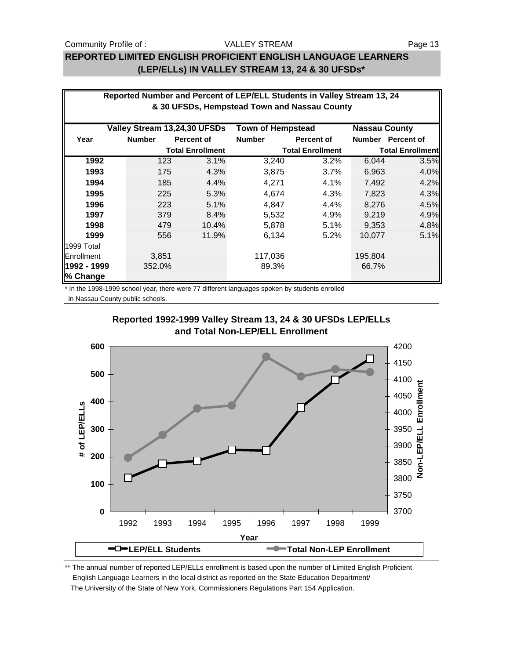### Community Profile of : The State of the VALLEY STREAM Page 13

### VALLEY STREAM

## **REPORTED LIMITED ENGLISH PROFICIENT ENGLISH LANGUAGE LEARNERS (LEP/ELLs) IN VALLEY STREAM 13, 24 & 30 UFSDs\***

| Reported Number and Percent of LEP/ELL Students in Valley Stream 13, 24 |               |     |                              |                                              |                         |                         |                      |  |  |
|-------------------------------------------------------------------------|---------------|-----|------------------------------|----------------------------------------------|-------------------------|-------------------------|----------------------|--|--|
|                                                                         |               |     |                              | & 30 UFSDs, Hempstead Town and Nassau County |                         |                         |                      |  |  |
|                                                                         |               |     | Valley Stream 13,24,30 UFSDs | <b>Town of Hempstead</b>                     |                         |                         | <b>Nassau County</b> |  |  |
| Year                                                                    | <b>Number</b> |     | <b>Percent of</b>            | <b>Number</b>                                | <b>Percent of</b>       |                         | Number Percent of    |  |  |
|                                                                         |               |     | <b>Total Enrollment</b>      |                                              | <b>Total Enrollment</b> | <b>Total Enrollment</b> |                      |  |  |
| 1992                                                                    |               | 123 | 3.1%                         | 3,240                                        | 3.2%                    | 6,044                   | 3.5%                 |  |  |
| 1993                                                                    |               | 175 | 4.3%                         | 3,875                                        | 3.7%                    | 6,963                   | 4.0%                 |  |  |
| 1994                                                                    |               | 185 | 4.4%                         | 4,271                                        | 4.1%                    | 7,492                   | 4.2%                 |  |  |
| 1995                                                                    |               | 225 | 5.3%                         | 4,674                                        | 4.3%                    | 7,823                   | 4.3%                 |  |  |
| 1996                                                                    |               | 223 | 5.1%                         | 4,847                                        | 4.4%                    | 8,276                   | 4.5%                 |  |  |
| 1997                                                                    |               | 379 | 8.4%                         | 5,532                                        | 4.9%                    | 9,219                   | 4.9%                 |  |  |
| 1998                                                                    |               | 479 | 10.4%                        | 5,878                                        | 5.1%                    | 9,353                   | 4.8%                 |  |  |
| 1999                                                                    |               | 556 | 11.9%                        | 6,134                                        | 5.2%                    | 10,077                  | 5.1%                 |  |  |
| 1999 Total                                                              |               |     |                              |                                              |                         |                         |                      |  |  |
| Enrollment                                                              | 3,851         |     |                              | 117,036                                      |                         | 195,804                 |                      |  |  |
| 1992 - 1999                                                             | 352.0%        |     |                              | 89.3%                                        |                         | 66.7%                   |                      |  |  |
| % Change                                                                |               |     |                              |                                              |                         |                         |                      |  |  |

\* In the 1998-1999 school year, there were 77 different languages spoken by students enrolled in Nassau County public schools.



\*\* The annual number of reported LEP/ELLs enrollment is based upon the number of Limited English Proficient English Language Learners in the local district as reported on the State Education Department/ The University of the State of New York, Commissioners Regulations Part 154 Application.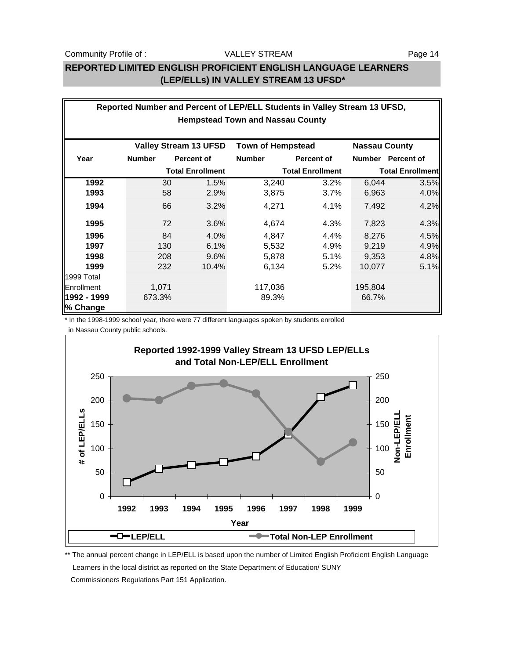## **REPORTED LIMITED ENGLISH PROFICIENT ENGLISH LANGUAGE LEARNERS (LEP/ELLs) IN VALLEY STREAM 13 UFSD\***

| Reported Number and Percent of LEP/ELL Students in Valley Stream 13 UFSD, |                              |                   |                          |                         |                         |                   |  |  |  |
|---------------------------------------------------------------------------|------------------------------|-------------------|--------------------------|-------------------------|-------------------------|-------------------|--|--|--|
| <b>Hempstead Town and Nassau County</b>                                   |                              |                   |                          |                         |                         |                   |  |  |  |
|                                                                           |                              |                   |                          |                         |                         |                   |  |  |  |
|                                                                           | <b>Valley Stream 13 UFSD</b> |                   | <b>Town of Hempstead</b> |                         | <b>Nassau County</b>    |                   |  |  |  |
| Year                                                                      | <b>Number</b>                | <b>Percent of</b> | <b>Number</b>            | <b>Percent of</b>       |                         | Number Percent of |  |  |  |
|                                                                           | <b>Total Enrollment</b>      |                   |                          | <b>Total Enrollment</b> | <b>Total Enrollment</b> |                   |  |  |  |
| 1992                                                                      | 30                           | 1.5%              | 3,240                    | 3.2%                    | 6,044                   | 3.5%              |  |  |  |
| 1993                                                                      | 58                           | 2.9%              | 3,875                    | 3.7%                    | 6,963                   | 4.0%              |  |  |  |
| 1994                                                                      | 66                           | 3.2%              | 4,271                    | 4.1%                    | 7,492                   | 4.2%              |  |  |  |
| 1995                                                                      | 72                           | 3.6%              | 4,674                    | 4.3%                    | 7,823                   | 4.3%              |  |  |  |
| 1996                                                                      | 84                           | 4.0%              | 4,847                    | 4.4%                    | 8,276                   | 4.5%              |  |  |  |
| 1997                                                                      | 130                          | 6.1%              | 5,532                    | 4.9%                    | 9,219                   | 4.9%              |  |  |  |
| 1998                                                                      | 208                          | 9.6%              | 5,878                    | 5.1%                    | 9,353                   | 4.8%              |  |  |  |
| 1999                                                                      | 232                          | 10.4%             | 6,134                    | 5.2%                    | 10,077                  | 5.1%              |  |  |  |
| 1999 Total                                                                |                              |                   |                          |                         |                         |                   |  |  |  |
| Enrollment                                                                | 1,071                        |                   | 117,036                  |                         | 195,804                 |                   |  |  |  |
| 1992 - 1999                                                               | 673.3%                       |                   | 89.3%                    |                         | 66.7%                   |                   |  |  |  |
| % Change                                                                  |                              |                   |                          |                         |                         |                   |  |  |  |

\* In the 1998-1999 school year, there were 77 different languages spoken by students enrolled

in Nassau County public schools.



\*\* The annual percent change in LEP/ELL is based upon the number of Limited English Proficient English Language Learners in the local district as reported on the State Department of Education/ SUNY Commissioners Regulations Part 151 Application.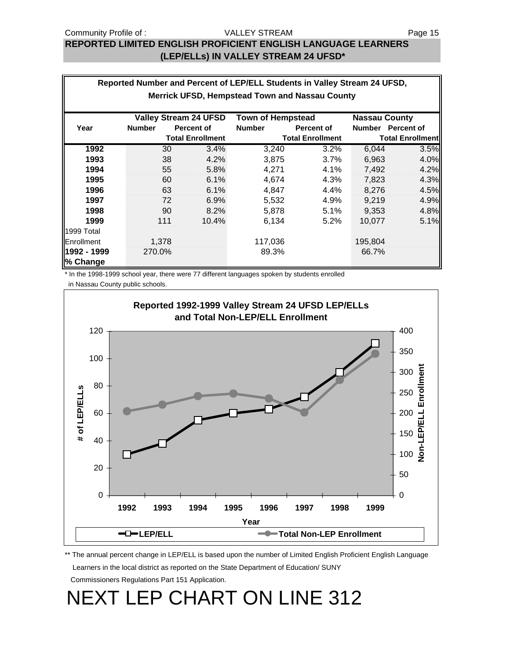## **REPORTED LIMITED ENGLISH PROFICIENT ENGLISH LANGUAGE LEARNERS (LEP/ELLs) IN VALLEY STREAM 24 UFSD\***

|                                                                                  | Reported Number and Percent of LEP/ELL Students in Valley Stream 24 UFSD, |                         |                         |                   |                         |                   |  |  |  |
|----------------------------------------------------------------------------------|---------------------------------------------------------------------------|-------------------------|-------------------------|-------------------|-------------------------|-------------------|--|--|--|
| <b>Merrick UFSD, Hempstead Town and Nassau County</b>                            |                                                                           |                         |                         |                   |                         |                   |  |  |  |
| <b>Valley Stream 24 UFSD</b><br><b>Town of Hempstead</b><br><b>Nassau County</b> |                                                                           |                         |                         |                   |                         |                   |  |  |  |
| Year                                                                             | <b>Number</b>                                                             | <b>Percent of</b>       | <b>Number</b>           | <b>Percent of</b> |                         | Number Percent of |  |  |  |
|                                                                                  |                                                                           | <b>Total Enrollment</b> | <b>Total Enrollment</b> |                   | <b>Total Enrollment</b> |                   |  |  |  |
| 1992                                                                             | 30                                                                        | 3.4%                    | 3,240                   | 3.2%              | 6,044                   | 3.5%              |  |  |  |
| 1993                                                                             | 38                                                                        | 4.2%                    | 3,875                   | 3.7%              | 6,963                   | 4.0%              |  |  |  |
| 1994                                                                             | 55                                                                        | 5.8%                    | 4,271                   | 4.1%              | 7,492                   | 4.2%              |  |  |  |
| 1995                                                                             | 60                                                                        | 6.1%                    | 4,674                   | 4.3%              | 7,823                   | 4.3%              |  |  |  |
| 1996                                                                             | 63                                                                        | 6.1%                    | 4,847                   | 4.4%              | 8,276                   | 4.5%              |  |  |  |
| 1997                                                                             | 72                                                                        | 6.9%                    | 5,532                   | 4.9%              | 9.219                   | 4.9%              |  |  |  |
| 1998                                                                             | 90                                                                        | 8.2%                    | 5,878                   | 5.1%              | 9,353                   | 4.8%              |  |  |  |
| 1999                                                                             | 111                                                                       | 10.4%                   | 6,134                   | $5.2\%$           | 10.077                  | 5.1%              |  |  |  |
| 1999 Total                                                                       |                                                                           |                         |                         |                   |                         |                   |  |  |  |
| Enrollment                                                                       | 1,378                                                                     |                         | 117,036                 |                   | 195,804                 |                   |  |  |  |
| 1992 - 1999                                                                      | 270.0%                                                                    |                         | 89.3%                   |                   | 66.7%                   |                   |  |  |  |
| % Change                                                                         |                                                                           |                         |                         |                   |                         |                   |  |  |  |

\* In the 1998-1999 school year, there were 77 different languages spoken by students enrolled

in Nassau County public schools.



\*\* The annual percent change in LEP/ELL is based upon the number of Limited English Proficient English Language Learners in the local district as reported on the State Department of Education/ SUNY

Commissioners Regulations Part 151 Application.

NEXT LEP CHART ON LINE 312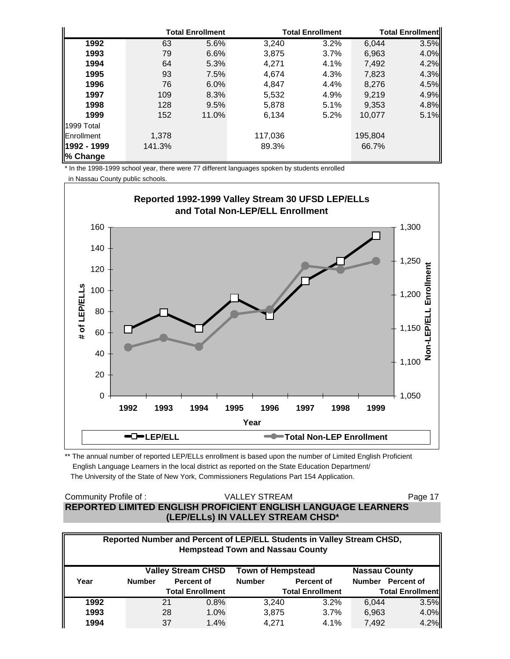|                    |        | <b>Total Enrollment</b> |         | <b>Total Enrollment</b> | <b>Total Enrollmentl</b> |      |
|--------------------|--------|-------------------------|---------|-------------------------|--------------------------|------|
| 1992               | 63     | 5.6%                    | 3,240   | 3.2%                    | 6,044                    | 3.5% |
| 1993               | 79     | 6.6%                    | 3,875   | 3.7%                    | 6,963                    | 4.0% |
| 1994               | 64     | 5.3%                    | 4.271   | 4.1%                    | 7,492                    | 4.2% |
| 1995               | 93     | 7.5%                    | 4.674   | 4.3%                    | 7,823                    | 4.3% |
| 1996               | 76     | 6.0%                    | 4,847   | 4.4%                    | 8,276                    | 4.5% |
| 1997               | 109    | 8.3%                    | 5,532   | 4.9%                    | 9,219                    | 4.9% |
| 1998               | 128    | 9.5%                    | 5,878   | 5.1%                    | 9,353                    | 4.8% |
| 1999               | 152    | 11.0%                   | 6,134   | 5.2%                    | 10,077                   | 5.1% |
| 1999 Total         |        |                         |         |                         |                          |      |
| <b>IEnrollment</b> | 1,378  |                         | 117,036 |                         | 195,804                  |      |
| 1992 - 1999        | 141.3% |                         | 89.3%   |                         | 66.7%                    |      |
| % Change           |        |                         |         |                         |                          |      |

\* In the 1998-1999 school year, there were 77 different languages spoken by students enrolled

in Nassau County public schools.



\*\* The annual number of reported LEP/ELLs enrollment is based upon the number of Limited English Proficient English Language Learners in the local district as reported on the State Education Department/ The University of the State of New York, Commissioners Regulations Part 154 Application.

### Community Profile of : The State of the VALLEY STREAM Page 17 **REPORTED LIMITED ENGLISH PROFICIENT ENGLISH LANGUAGE LEARNERS (LEP/ELLs) IN VALLEY STREAM CHSD\*** VALLEY STREAM

| Reported Number and Percent of LEP/ELL Students in Valley Stream CHSD,<br><b>Hempstead Town and Nassau County</b> |                                                                               |    |                         |                         |                   |                         |                   |  |
|-------------------------------------------------------------------------------------------------------------------|-------------------------------------------------------------------------------|----|-------------------------|-------------------------|-------------------|-------------------------|-------------------|--|
|                                                                                                                   | <b>Valley Stream CHSD</b><br><b>Town of Hempstead</b><br><b>Nassau County</b> |    |                         |                         |                   |                         |                   |  |
| Year                                                                                                              | <b>Number</b>                                                                 |    | Percent of              | <b>Number</b>           | <b>Percent of</b> |                         | Number Percent of |  |
|                                                                                                                   |                                                                               |    | <b>Total Enrollment</b> | <b>Total Enrollment</b> |                   | <b>Total Enrollment</b> |                   |  |
| 1992                                                                                                              |                                                                               | 21 | 0.8%                    | 3,240                   | 3.2%              | 6.044                   | 3.5%              |  |
| 1993                                                                                                              |                                                                               | 28 | 1.0%                    | 3,875                   | $3.7\%$           | 6,963                   | 4.0%              |  |
| 1994                                                                                                              |                                                                               | 37 | 1.4%                    | 4.271                   | $4.1\%$           | 7,492                   | 4.2%              |  |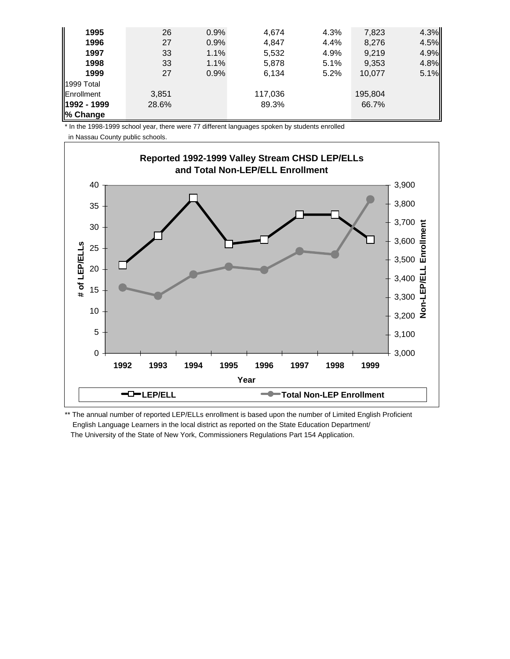| 1995        | 26    | 0.9% | 4.674   | 4.3% | 7,823   | 4.3% |
|-------------|-------|------|---------|------|---------|------|
| 1996        | 27    | 0.9% | 4,847   | 4.4% | 8,276   | 4.5% |
| 1997        | 33    | 1.1% | 5,532   | 4.9% | 9,219   | 4.9% |
| 1998        | 33    | 1.1% | 5,878   | 5.1% | 9,353   | 4.8% |
| 1999        | 27    | 0.9% | 6,134   | 5.2% | 10.077  | 5.1% |
| 1999 Total  |       |      |         |      |         |      |
| Enrollment  | 3,851 |      | 117,036 |      | 195,804 |      |
| 1992 - 1999 | 28.6% |      | 89.3%   |      | 66.7%   |      |
| % Change    |       |      |         |      |         |      |

\* In the 1998-1999 school year, there were 77 different languages spoken by students enrolled

in Nassau County public schools.



\*\* The annual number of reported LEP/ELLs enrollment is based upon the number of Limited English Proficient English Language Learners in the local district as reported on the State Education Department/ The University of the State of New York, Commissioners Regulations Part 154 Application.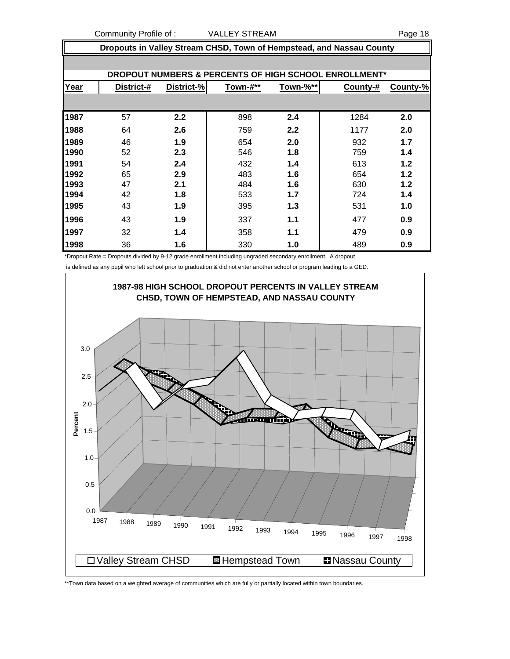Community Profile of : VALLEY STREAM Page 18

| Dropouts in Valley Stream CHSD, Town of Hempstead, and Nassau County |            |            |          |          |          |          |  |  |  |  |
|----------------------------------------------------------------------|------------|------------|----------|----------|----------|----------|--|--|--|--|
|                                                                      |            |            |          |          |          |          |  |  |  |  |
| DROPOUT NUMBERS & PERCENTS OF HIGH SCHOOL ENROLLMENT*                |            |            |          |          |          |          |  |  |  |  |
| Year                                                                 | District-# | District-% | Town-#** | Town-%** | County-# | County-% |  |  |  |  |
|                                                                      |            |            |          |          |          |          |  |  |  |  |
| 1987                                                                 | 57         | 2.2        | 898      | 2.4      | 1284     | 2.0      |  |  |  |  |
| 1988                                                                 | 64         | 2.6        | 759      | 2.2      | 1177     | 2.0      |  |  |  |  |
| 1989                                                                 | 46         | 1.9        | 654      | 2.0      | 932      | 1.7      |  |  |  |  |
| 1990                                                                 | 52         | 2.3        | 546      | 1.8      | 759      | 1.4      |  |  |  |  |
| 1991                                                                 | 54         | 2.4        | 432      | 1.4      | 613      | 1.2      |  |  |  |  |
| 1992                                                                 | 65         | 2.9        | 483      | 1.6      | 654      | 1.2      |  |  |  |  |
| 1993                                                                 | 47         | 2.1        | 484      | 1.6      | 630      | 1.2      |  |  |  |  |
| 1994                                                                 | 42         | 1.8        | 533      | 1.7      | 724      | 1.4      |  |  |  |  |
| 1995                                                                 | 43         | 1.9        | 395      | 1.3      | 531      | 1.0      |  |  |  |  |
| 1996                                                                 | 43         | 1.9        | 337      | 1.1      | 477      | 0.9      |  |  |  |  |
| 1997                                                                 | 32         | 1.4        | 358      | 1.1      | 479      | 0.9      |  |  |  |  |
| 1998                                                                 | 36         | 1.6        | 330      | 1.0      | 489      | 0.9      |  |  |  |  |

\*Dropout Rate = Dropouts divided by 9-12 grade enrollment including ungraded secondary enrollment. A dropout

is defined as any pupil who left school prior to graduation & did not enter another school or program leading to a GED.



\*\*Town data based on a weighted average of communities which are fully or partially located within town boundaries.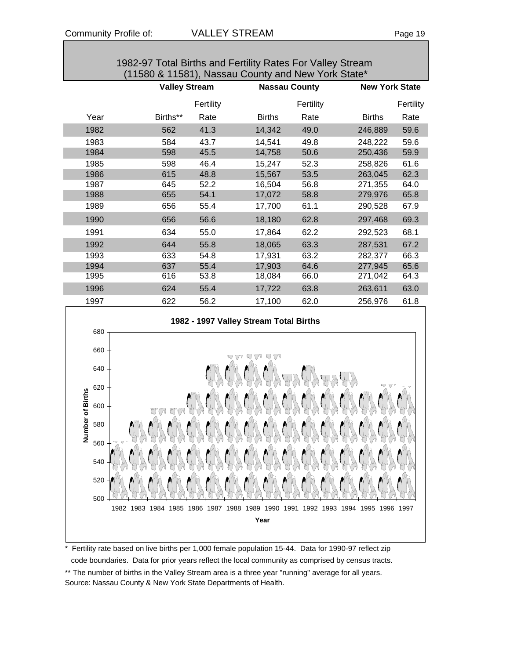|      | 1982-97 Total Births and Fertility Rates For Valley Stream<br>(11580 & 11581), Nassau County and New York State* |           |               |                      |               |                       |  |  |  |  |
|------|------------------------------------------------------------------------------------------------------------------|-----------|---------------|----------------------|---------------|-----------------------|--|--|--|--|
|      | <b>Valley Stream</b>                                                                                             |           |               | <b>Nassau County</b> |               | <b>New York State</b> |  |  |  |  |
|      |                                                                                                                  | Fertility |               | Fertility            |               | Fertility             |  |  |  |  |
| Year | Births**                                                                                                         | Rate      | <b>Births</b> | Rate                 | <b>Births</b> | Rate                  |  |  |  |  |
| 1982 | 562                                                                                                              | 41.3      | 14,342        | 49.0                 | 246,889       | 59.6                  |  |  |  |  |
| 1983 | 584                                                                                                              | 43.7      | 14,541        | 49.8                 | 248,222       | 59.6                  |  |  |  |  |
| 1984 | 598                                                                                                              | 45.5      | 14,758        | 50.6                 | 250,436       | 59.9                  |  |  |  |  |
| 1985 | 598                                                                                                              | 46.4      | 15,247        | 52.3                 | 258,826       | 61.6                  |  |  |  |  |
| 1986 | 615                                                                                                              | 48.8      | 15,567        | 53.5                 | 263,045       | 62.3                  |  |  |  |  |
| 1987 | 645                                                                                                              | 52.2      | 16,504        | 56.8                 | 271,355       | 64.0                  |  |  |  |  |
| 1988 | 655                                                                                                              | 54.1      | 17,072        | 58.8                 | 279,976       | 65.8                  |  |  |  |  |
| 1989 | 656                                                                                                              | 55.4      | 17,700        | 61.1                 | 290,528       | 67.9                  |  |  |  |  |
| 1990 | 656                                                                                                              | 56.6      | 18,180        | 62.8                 | 297,468       | 69.3                  |  |  |  |  |
| 1991 | 634                                                                                                              | 55.0      | 17,864        | 62.2                 | 292,523       | 68.1                  |  |  |  |  |
| 1992 | 644                                                                                                              | 55.8      | 18,065        | 63.3                 | 287,531       | 67.2                  |  |  |  |  |
| 1993 | 633                                                                                                              | 54.8      | 17,931        | 63.2                 | 282,377       | 66.3                  |  |  |  |  |
| 1994 | 637                                                                                                              | 55.4      | 17,903        | 64.6                 | 277,945       | 65.6                  |  |  |  |  |
| 1995 | 616                                                                                                              | 53.8      | 18,084        | 66.0                 | 271,042       | 64.3                  |  |  |  |  |
| 1996 | 624                                                                                                              | 55.4      | 17,722        | 63.8                 | 263,611       | 63.0                  |  |  |  |  |
| 1997 | 622                                                                                                              | 56.2      | 17,100        | 62.0                 | 256,976       | 61.8                  |  |  |  |  |
| 000  | 1982 - 1997 Valley Stream Total Births                                                                           |           |               |                      |               |                       |  |  |  |  |



\* Fertility rate based on live births per 1,000 female population 15-44. Data for 1990-97 reflect zip code boundaries. Data for prior years reflect the local community as comprised by census tracts. \*\* The number of births in the Valley Stream area is a three year "running" average for all years. Source: Nassau County & New York State Departments of Health.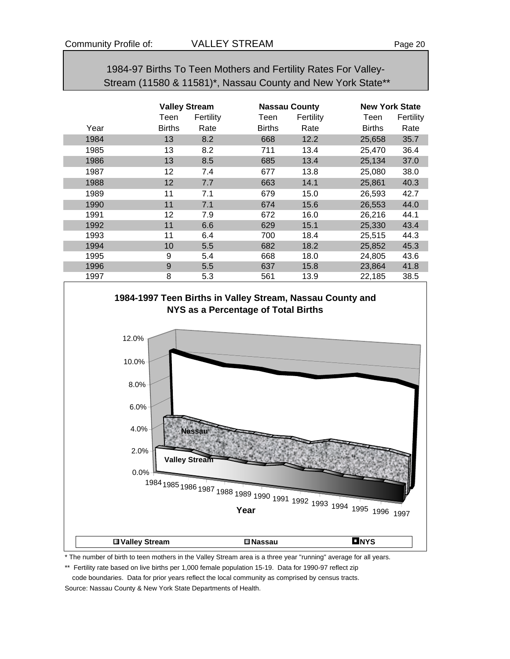1984-97 Births To Teen Mothers and Fertility Rates For Valley- Stream (11580 & 11581)\*, Nassau County and New York State\*\*

|      | <b>Valley Stream</b> |           |               | <b>Nassau County</b> | <b>New York State</b> |           |  |
|------|----------------------|-----------|---------------|----------------------|-----------------------|-----------|--|
|      | Teen                 | Fertility | Teen          | Fertility            | Teen                  | Fertility |  |
| Year | <b>Births</b>        | Rate      | <b>Births</b> | Rate                 | <b>Births</b>         | Rate      |  |
| 1984 | 13                   | 8.2       | 668           | 12.2                 | 25,658                | 35.7      |  |
| 1985 | 13                   | 8.2       | 711           | 13.4                 | 25,470                | 36.4      |  |
| 1986 | 13                   | 8.5       | 685           | 13.4                 | 25,134                | 37.0      |  |
| 1987 | 12                   | 7.4       | 677           | 13.8                 | 25,080                | 38.0      |  |
| 1988 | 12                   | 7.7       | 663           | 14.1                 | 25,861                | 40.3      |  |
| 1989 | 11                   | 7.1       | 679           | 15.0                 | 26,593                | 42.7      |  |
| 1990 | 11                   | 7.1       | 674           | 15.6                 | 26,553                | 44.0      |  |
| 1991 | 12                   | 7.9       | 672           | 16.0                 | 26,216                | 44.1      |  |
| 1992 | 11                   | 6.6       | 629           | 15.1                 | 25,330                | 43.4      |  |
| 1993 | 11                   | 6.4       | 700           | 18.4                 | 25,515                | 44.3      |  |
| 1994 | 10                   | 5.5       | 682           | 18.2                 | 25,852                | 45.3      |  |
| 1995 | 9                    | 5.4       | 668           | 18.0                 | 24,805                | 43.6      |  |
| 1996 | 9                    | 5.5       | 637           | 15.8                 | 23,864                | 41.8      |  |
| 1997 | 8                    | 5.3       | 561           | 13.9                 | 22,185                | 38.5      |  |



\* The number of birth to teen mothers in the Valley Stream area is a three year "running" average for all years.

\*\* Fertility rate based on live births per 1,000 female population 15-19. Data for 1990-97 reflect zip

 code boundaries. Data for prior years reflect the local community as comprised by census tracts. Source: Nassau County & New York State Departments of Health.